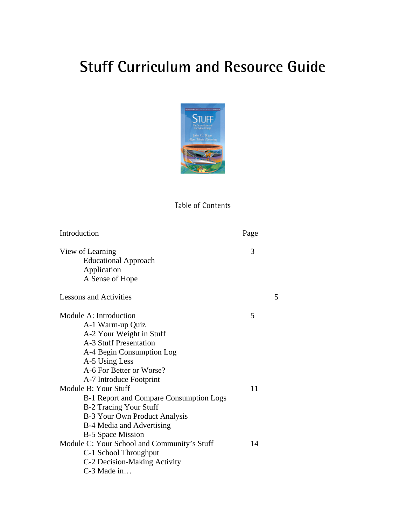# **Stuff Curriculum and Resource Guide**



## Table of Contents

| Introduction                                | Page |   |
|---------------------------------------------|------|---|
| View of Learning                            | 3    |   |
| <b>Educational Approach</b>                 |      |   |
| Application                                 |      |   |
| A Sense of Hope                             |      |   |
| <b>Lessons and Activities</b>               |      | 5 |
| Module A: Introduction                      | 5    |   |
| A-1 Warm-up Quiz                            |      |   |
| A-2 Your Weight in Stuff                    |      |   |
| <b>A-3 Stuff Presentation</b>               |      |   |
| A-4 Begin Consumption Log                   |      |   |
| A-5 Using Less                              |      |   |
| A-6 For Better or Worse?                    |      |   |
| A-7 Introduce Footprint                     |      |   |
| Module B: Your Stuff                        | 11   |   |
| B-1 Report and Compare Consumption Logs     |      |   |
| <b>B-2 Tracing Your Stuff</b>               |      |   |
| B-3 Your Own Product Analysis               |      |   |
| B-4 Media and Advertising                   |      |   |
| B-5 Space Mission                           |      |   |
| Module C: Your School and Community's Stuff | 14   |   |
| C-1 School Throughput                       |      |   |
| C-2 Decision-Making Activity                |      |   |
| C-3 Made in                                 |      |   |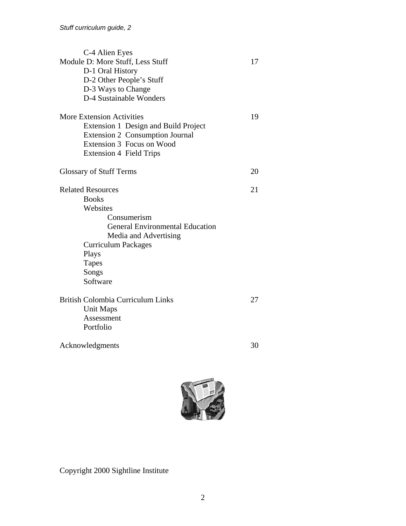| C-4 Alien Eyes                           |    |
|------------------------------------------|----|
| Module D: More Stuff, Less Stuff         | 17 |
| D-1 Oral History                         |    |
| D-2 Other People's Stuff                 |    |
| D-3 Ways to Change                       |    |
| D-4 Sustainable Wonders                  |    |
| <b>More Extension Activities</b>         | 19 |
| Extension 1 Design and Build Project     |    |
| Extension 2 Consumption Journal          |    |
| Extension 3 Focus on Wood                |    |
| <b>Extension 4 Field Trips</b>           |    |
| <b>Glossary of Stuff Terms</b>           | 20 |
|                                          |    |
| <b>Related Resources</b>                 | 21 |
| <b>Books</b>                             |    |
| Websites                                 |    |
| Consumerism                              |    |
| <b>General Environmental Education</b>   |    |
| Media and Advertising                    |    |
| <b>Curriculum Packages</b>               |    |
| Plays                                    |    |
| <b>Tapes</b>                             |    |
| Songs                                    |    |
| Software                                 |    |
| <b>British Colombia Curriculum Links</b> | 27 |
| <b>Unit Maps</b>                         |    |
| Assessment                               |    |
| Portfolio                                |    |
| Acknowledgments                          | 30 |
|                                          |    |



Copyright 2000 Sightline Institute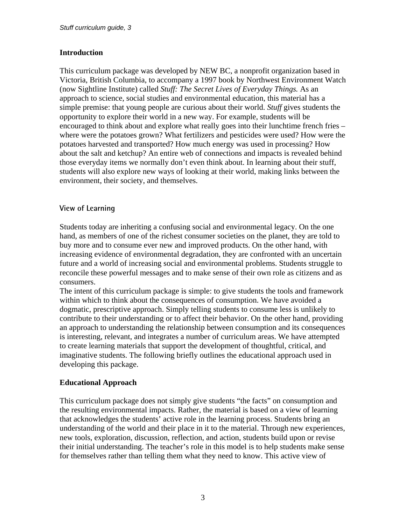## **Introduction**

This curriculum package was developed by NEW BC, a nonprofit organization based in Victoria, British Columbia, to accompany a 1997 book by Northwest Environment Watch (now Sightline Institute) called *Stuff: The Secret Lives of Everyday Things.* As an approach to science, social studies and environmental education, this material has a simple premise: that young people are curious about their world. *Stuff* gives students the opportunity to explore their world in a new way. For example, students will be encouraged to think about and explore what really goes into their lunchtime french fries – where were the potatoes grown? What fertilizers and pesticides were used? How were the potatoes harvested and transported? How much energy was used in processing? How about the salt and ketchup? An entire web of connections and impacts is revealed behind those everyday items we normally don't even think about. In learning about their stuff, students will also explore new ways of looking at their world, making links between the environment, their society, and themselves.

## **View of Learning**

Students today are inheriting a confusing social and environmental legacy. On the one hand, as members of one of the richest consumer societies on the planet, they are told to buy more and to consume ever new and improved products. On the other hand, with increasing evidence of environmental degradation, they are confronted with an uncertain future and a world of increasing social and environmental problems. Students struggle to reconcile these powerful messages and to make sense of their own role as citizens and as consumers.

The intent of this curriculum package is simple: to give students the tools and framework within which to think about the consequences of consumption. We have avoided a dogmatic, prescriptive approach. Simply telling students to consume less is unlikely to contribute to their understanding or to affect their behavior. On the other hand, providing an approach to understanding the relationship between consumption and its consequences is interesting, relevant, and integrates a number of curriculum areas. We have attempted to create learning materials that support the development of thoughtful, critical, and imaginative students. The following briefly outlines the educational approach used in developing this package.

#### **Educational Approach**

This curriculum package does not simply give students "the facts" on consumption and the resulting environmental impacts. Rather, the material is based on a view of learning that acknowledges the students' active role in the learning process. Students bring an understanding of the world and their place in it to the material. Through new experiences, new tools, exploration, discussion, reflection, and action, students build upon or revise their initial understanding. The teacher's role in this model is to help students make sense for themselves rather than telling them what they need to know. This active view of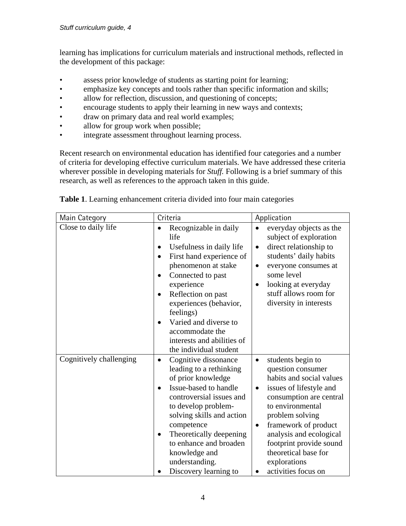learning has implications for curriculum materials and instructional methods, reflected in the development of this package:

- assess prior knowledge of students as starting point for learning;
- emphasize key concepts and tools rather than specific information and skills;
- allow for reflection, discussion, and questioning of concepts;
- encourage students to apply their learning in new ways and contexts;
- draw on primary data and real world examples;
- allow for group work when possible;
- integrate assessment throughout learning process.

Recent research on environmental education has identified four categories and a number of criteria for developing effective curriculum materials. We have addressed these criteria wherever possible in developing materials for *Stuff.* Following is a brief summary of this research, as well as references to the approach taken in this guide.

| Main Category           | Criteria                                                                                                                                                                                                                                                                                                                                                                          | Application                                                                                                                                                                                                                                                                                                                            |
|-------------------------|-----------------------------------------------------------------------------------------------------------------------------------------------------------------------------------------------------------------------------------------------------------------------------------------------------------------------------------------------------------------------------------|----------------------------------------------------------------------------------------------------------------------------------------------------------------------------------------------------------------------------------------------------------------------------------------------------------------------------------------|
| Close to daily life     | Recognizable in daily<br>$\bullet$<br>life<br>Usefulness in daily life<br>$\bullet$<br>First hand experience of<br>$\bullet$<br>phenomenon at stake<br>Connected to past<br>$\bullet$<br>experience<br>Reflection on past<br>$\bullet$<br>experiences (behavior,<br>feelings)<br>Varied and diverse to<br>accommodate the<br>interests and abilities of<br>the individual student | everyday objects as the<br>subject of exploration<br>direct relationship to<br>$\bullet$<br>students' daily habits<br>everyone consumes at<br>$\bullet$<br>some level<br>looking at everyday<br>stuff allows room for<br>diversity in interests                                                                                        |
| Cognitively challenging | Cognitive dissonance<br>$\bullet$<br>leading to a rethinking<br>of prior knowledge<br>Issue-based to handle<br>$\bullet$<br>controversial issues and<br>to develop problem-<br>solving skills and action<br>competence<br>Theoretically deepening<br>$\bullet$<br>to enhance and broaden<br>knowledge and<br>understanding.<br>Discovery learning to                              | students begin to<br>$\bullet$<br>question consumer<br>habits and social values<br>issues of lifestyle and<br>consumption are central<br>to environmental<br>problem solving<br>framework of product<br>$\bullet$<br>analysis and ecological<br>footprint provide sound<br>theoretical base for<br>explorations<br>activities focus on |

**Table 1**. Learning enhancement criteria divided into four main categories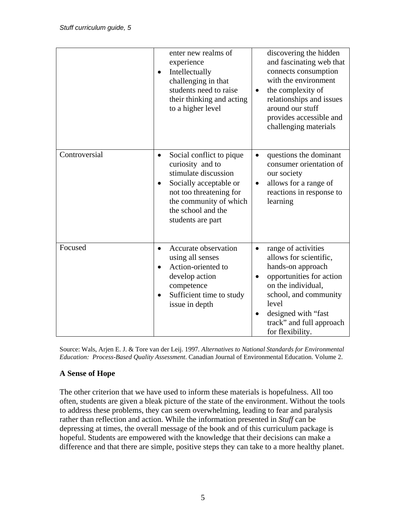|               | enter new realms of<br>experience<br>Intellectually<br>$\bullet$<br>challenging in that<br>students need to raise<br>their thinking and acting<br>to a higher level                                                      | discovering the hidden<br>and fascinating web that<br>connects consumption<br>with the environment<br>the complexity of<br>$\bullet$<br>relationships and issues<br>around our stuff<br>provides accessible and<br>challenging materials   |
|---------------|--------------------------------------------------------------------------------------------------------------------------------------------------------------------------------------------------------------------------|--------------------------------------------------------------------------------------------------------------------------------------------------------------------------------------------------------------------------------------------|
| Controversial | Social conflict to pique<br>$\bullet$<br>curiosity and to<br>stimulate discussion<br>Socially acceptable or<br>$\bullet$<br>not too threatening for<br>the community of which<br>the school and the<br>students are part | questions the dominant<br>$\bullet$<br>consumer orientation of<br>our society<br>allows for a range of<br>$\bullet$<br>reactions in response to<br>learning                                                                                |
| Focused       | Accurate observation<br>$\bullet$<br>using all senses<br>Action-oriented to<br>$\bullet$<br>develop action<br>competence<br>Sufficient time to study<br>issue in depth                                                   | range of activities<br>$\bullet$<br>allows for scientific,<br>hands-on approach<br>opportunities for action<br>on the individual,<br>school, and community<br>level<br>designed with "fast<br>track" and full approach<br>for flexibility. |

Source: Wals, Arjen E. J. & Tore van der Leij. 1997*. Alternatives to National Standards for Environmental Education: Process-Based Quality Assessment*. Canadian Journal of Environmental Education. Volume 2.

## **A Sense of Hope**

The other criterion that we have used to inform these materials is hopefulness. All too often, students are given a bleak picture of the state of the environment. Without the tools to address these problems, they can seem overwhelming, leading to fear and paralysis rather than reflection and action. While the information presented in *Stuff* can be depressing at times, the overall message of the book and of this curriculum package is hopeful. Students are empowered with the knowledge that their decisions can make a difference and that there are simple, positive steps they can take to a more healthy planet.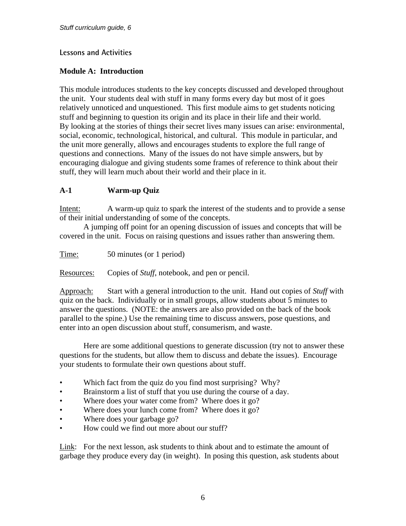#### **Lessons and Activities**

#### **Module A: Introduction**

This module introduces students to the key concepts discussed and developed throughout the unit. Your students deal with stuff in many forms every day but most of it goes relatively unnoticed and unquestioned. This first module aims to get students noticing stuff and beginning to question its origin and its place in their life and their world. By looking at the stories of things their secret lives many issues can arise: environmental, social, economic, technological, historical, and cultural. This module in particular, and the unit more generally, allows and encourages students to explore the full range of questions and connections. Many of the issues do not have simple answers, but by encouraging dialogue and giving students some frames of reference to think about their stuff, they will learn much about their world and their place in it.

#### **A-1 Warm-up Quiz**

Intent: A warm-up quiz to spark the interest of the students and to provide a sense of their initial understanding of some of the concepts.

 A jumping off point for an opening discussion of issues and concepts that will be covered in the unit. Focus on raising questions and issues rather than answering them.

Time: 50 minutes (or 1 period)

Resources: Copies of *Stuff*, notebook, and pen or pencil.

Approach: Start with a general introduction to the unit. Hand out copies of *Stuff* with quiz on the back. Individually or in small groups, allow students about 5 minutes to answer the questions. (NOTE: the answers are also provided on the back of the book parallel to the spine.) Use the remaining time to discuss answers, pose questions, and enter into an open discussion about stuff, consumerism, and waste.

 Here are some additional questions to generate discussion (try not to answer these questions for the students, but allow them to discuss and debate the issues). Encourage your students to formulate their own questions about stuff.

- Which fact from the quiz do you find most surprising? Why?
- Brainstorm a list of stuff that you use during the course of a day.
- Where does your water come from? Where does it go?
- Where does your lunch come from? Where does it go?
- Where does your garbage go?
- How could we find out more about our stuff?

Link: For the next lesson, ask students to think about and to estimate the amount of garbage they produce every day (in weight). In posing this question, ask students about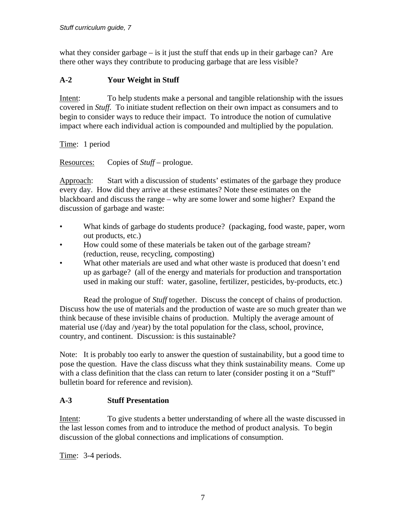what they consider garbage  $-$  is it just the stuff that ends up in their garbage can? Are there other ways they contribute to producing garbage that are less visible?

## **A-2 Your Weight in Stuff**

Intent: To help students make a personal and tangible relationship with the issues covered in *Stuff.* To initiate student reflection on their own impact as consumers and to begin to consider ways to reduce their impact. To introduce the notion of cumulative impact where each individual action is compounded and multiplied by the population.

Time: 1 period

Resources: Copies of *Stuff* – prologue.

Approach: Start with a discussion of students' estimates of the garbage they produce every day. How did they arrive at these estimates? Note these estimates on the blackboard and discuss the range – why are some lower and some higher? Expand the discussion of garbage and waste:

- What kinds of garbage do students produce? (packaging, food waste, paper, worn out products, etc.)
- How could some of these materials be taken out of the garbage stream? (reduction, reuse, recycling, composting)
- What other materials are used and what other waste is produced that doesn't end up as garbage? (all of the energy and materials for production and transportation used in making our stuff: water, gasoline, fertilizer, pesticides, by-products, etc.)

 Read the prologue of *Stuff* together. Discuss the concept of chains of production. Discuss how the use of materials and the production of waste are so much greater than we think because of these invisible chains of production. Multiply the average amount of material use (/day and /year) by the total population for the class, school, province, country, and continent. Discussion: is this sustainable?

Note: It is probably too early to answer the question of sustainability, but a good time to pose the question. Have the class discuss what they think sustainability means. Come up with a class definition that the class can return to later (consider posting it on a "Stuff" bulletin board for reference and revision).

## **A-3 Stuff Presentation**

Intent: To give students a better understanding of where all the waste discussed in the last lesson comes from and to introduce the method of product analysis. To begin discussion of the global connections and implications of consumption.

Time: 3-4 periods.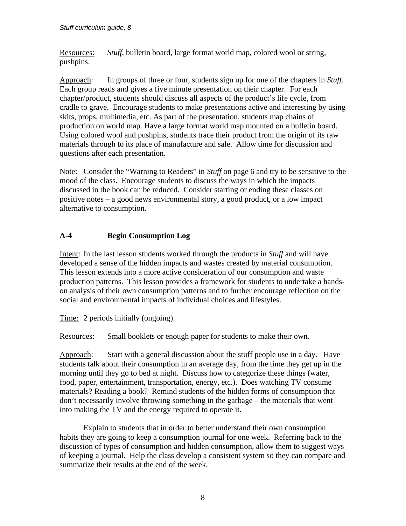Resources: *Stuff*, bulletin board, large format world map, colored wool or string, pushpins.

Approach: In groups of three or four, students sign up for one of the chapters in *Stuff.* Each group reads and gives a five minute presentation on their chapter. For each chapter/product, students should discuss all aspects of the product's life cycle, from cradle to grave. Encourage students to make presentations active and interesting by using skits, props, multimedia, etc. As part of the presentation, students map chains of production on world map. Have a large format world map mounted on a bulletin board. Using colored wool and pushpins, students trace their product from the origin of its raw materials through to its place of manufacture and sale. Allow time for discussion and questions after each presentation.

Note: Consider the "Warning to Readers" in *Stuff* on page 6 and try to be sensitive to the mood of the class. Encourage students to discuss the ways in which the impacts discussed in the book can be reduced. Consider starting or ending these classes on positive notes – a good news environmental story, a good product, or a low impact alternative to consumption.

## **A-4 Begin Consumption Log**

Intent: In the last lesson students worked through the products in *Stuff* and will have developed a sense of the hidden impacts and wastes created by material consumption. This lesson extends into a more active consideration of our consumption and waste production patterns. This lesson provides a framework for students to undertake a handson analysis of their own consumption patterns and to further encourage reflection on the social and environmental impacts of individual choices and lifestyles.

Time: 2 periods initially (ongoing).

Resources: Small booklets or enough paper for students to make their own.

Approach: Start with a general discussion about the stuff people use in a day. Have students talk about their consumption in an average day, from the time they get up in the morning until they go to bed at night. Discuss how to categorize these things (water, food, paper, entertainment, transportation, energy, etc.). Does watching TV consume materials? Reading a book? Remind students of the hidden forms of consumption that don't necessarily involve throwing something in the garbage – the materials that went into making the TV and the energy required to operate it.

 Explain to students that in order to better understand their own consumption habits they are going to keep a consumption journal for one week. Referring back to the discussion of types of consumption and hidden consumption, allow them to suggest ways of keeping a journal. Help the class develop a consistent system so they can compare and summarize their results at the end of the week.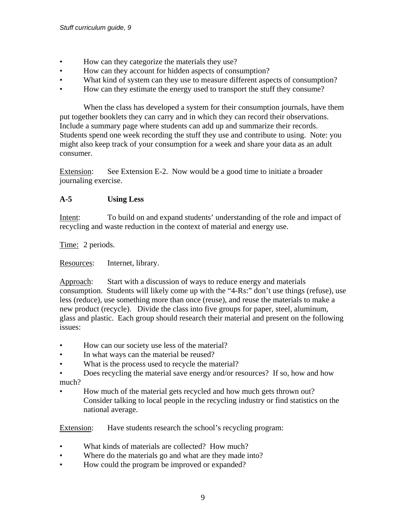- How can they categorize the materials they use?
- How can they account for hidden aspects of consumption?
- What kind of system can they use to measure different aspects of consumption?
- How can they estimate the energy used to transport the stuff they consume?

 When the class has developed a system for their consumption journals, have them put together booklets they can carry and in which they can record their observations. Include a summary page where students can add up and summarize their records. Students spend one week recording the stuff they use and contribute to using. Note: you might also keep track of your consumption for a week and share your data as an adult consumer.

Extension: See Extension E-2. Now would be a good time to initiate a broader journaling exercise.

## **A-5 Using Less**

Intent: To build on and expand students' understanding of the role and impact of recycling and waste reduction in the context of material and energy use.

Time: 2 periods.

Resources: Internet, library.

Approach: Start with a discussion of ways to reduce energy and materials consumption. Students will likely come up with the "4-Rs:" don't use things (refuse), use less (reduce), use something more than once (reuse), and reuse the materials to make a new product (recycle). Divide the class into five groups for paper, steel, aluminum, glass and plastic. Each group should research their material and present on the following issues:

- How can our society use less of the material?
- In what ways can the material be reused?
- What is the process used to recycle the material?
- Does recycling the material save energy and/or resources? If so, how and how much?
- How much of the material gets recycled and how much gets thrown out? Consider talking to local people in the recycling industry or find statistics on the national average.

Extension: Have students research the school's recycling program:

- What kinds of materials are collected? How much?
- Where do the materials go and what are they made into?
- How could the program be improved or expanded?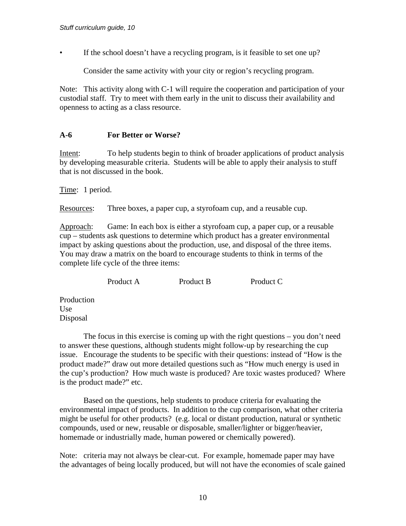• If the school doesn't have a recycling program, is it feasible to set one up?

Consider the same activity with your city or region's recycling program.

Note: This activity along with C-1 will require the cooperation and participation of your custodial staff. Try to meet with them early in the unit to discuss their availability and openness to acting as a class resource.

#### **A-6 For Better or Worse?**

Intent: To help students begin to think of broader applications of product analysis by developing measurable criteria. Students will be able to apply their analysis to stuff that is not discussed in the book.

Time: 1 period.

Resources: Three boxes, a paper cup, a styrofoam cup, and a reusable cup.

Approach: Game: In each box is either a styrofoam cup, a paper cup, or a reusable cup – students ask questions to determine which product has a greater environmental impact by asking questions about the production, use, and disposal of the three items. You may draw a matrix on the board to encourage students to think in terms of the complete life cycle of the three items:

Product A Product B Product C

Production Use Disposal

 The focus in this exercise is coming up with the right questions – you don't need to answer these questions, although students might follow-up by researching the cup issue. Encourage the students to be specific with their questions: instead of "How is the product made?" draw out more detailed questions such as "How much energy is used in the cup's production? How much waste is produced? Are toxic wastes produced? Where is the product made?" etc.

 Based on the questions, help students to produce criteria for evaluating the environmental impact of products. In addition to the cup comparison, what other criteria might be useful for other products? (e.g. local or distant production, natural or synthetic compounds, used or new, reusable or disposable, smaller/lighter or bigger/heavier, homemade or industrially made, human powered or chemically powered).

Note: criteria may not always be clear-cut. For example, homemade paper may have the advantages of being locally produced, but will not have the economies of scale gained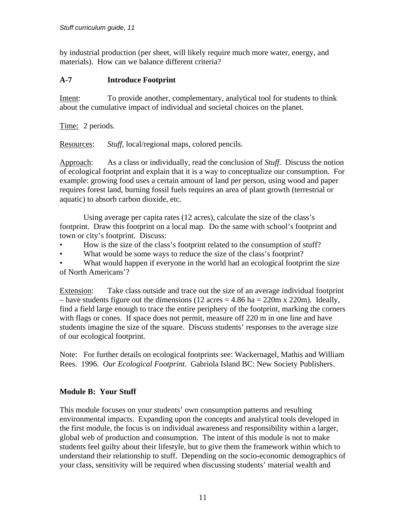by industrial production (per sheet, will likely require much more water, energy, and materials). How can we balance different criteria?

#### **A-7 Introduce Footprint**

Intent: To provide another, complementary, analytical tool for students to think about the cumulative impact of individual and societal choices on the planet.

Time: 2 periods.

Resources: *Stuff,* local/regional maps, colored pencils.

Approach: As a class or individually, read the conclusion of *Stuff*. Discuss the notion of ecological footprint and explain that it is a way to conceptualize our consumption. For example: growing food uses a certain amount of land per person, using wood and paper requires forest land, burning fossil fuels requires an area of plant growth (terrestrial or aquatic) to absorb carbon dioxide, etc.

 Using average per capita rates (12 acres), calculate the size of the class's footprint. Draw this footprint on a local map. Do the same with school's footprint and town or city's footprint. Discuss:

- How is the size of the class's footprint related to the consumption of stuff?
- What would be some ways to reduce the size of the class's footprint?

What would happen if everyone in the world had an ecological footprint the size of North Americans'?

Extension: Take class outside and trace out the size of an average individual footprint – have students figure out the dimensions (12 acres  $= 4.86$  ha  $= 220$ m x 220m). Ideally, find a field large enough to trace the entire periphery of the footprint, marking the corners with flags or cones. If space does not permit, measure off 220 m in one line and have students imagine the size of the square. Discuss students' responses to the average size of our ecological footprint.

Note: For further details on ecological footprints see: Wackernagel, Mathis and William Rees. 1996. *Our Ecological Footprint*. Gabriola Island BC: New Society Publishers.

## **Module B: Your Stuff**

This module focuses on your students' own consumption patterns and resulting environmental impacts. Expanding upon the concepts and analytical tools developed in the first module, the focus is on individual awareness and responsibility within a larger, global web of production and consumption. The intent of this module is not to make students feel guilty about their lifestyle, but to give them the framework within which to understand their relationship to stuff. Depending on the socio-economic demographics of your class, sensitivity will be required when discussing students' material wealth and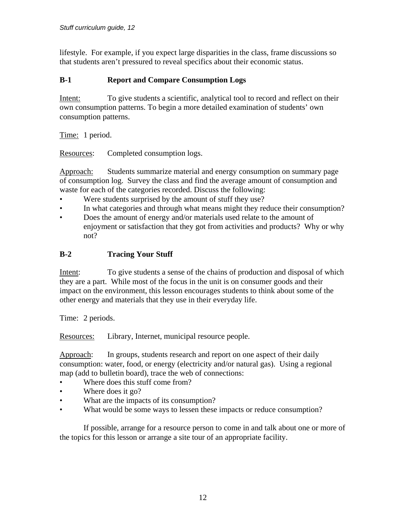lifestyle. For example, if you expect large disparities in the class, frame discussions so that students aren't pressured to reveal specifics about their economic status.

## **B-1 Report and Compare Consumption Logs**

Intent: To give students a scientific, analytical tool to record and reflect on their own consumption patterns. To begin a more detailed examination of students' own consumption patterns.

Time: 1 period.

Resources: Completed consumption logs.

Approach: Students summarize material and energy consumption on summary page of consumption log. Survey the class and find the average amount of consumption and waste for each of the categories recorded. Discuss the following:

- Were students surprised by the amount of stuff they use?
- In what categories and through what means might they reduce their consumption?
- Does the amount of energy and/or materials used relate to the amount of enjoyment or satisfaction that they got from activities and products? Why or why not?

## **B-2 Tracing Your Stuff**

Intent: To give students a sense of the chains of production and disposal of which they are a part. While most of the focus in the unit is on consumer goods and their impact on the environment, this lesson encourages students to think about some of the other energy and materials that they use in their everyday life.

Time: 2 periods.

Resources: Library, Internet, municipal resource people.

Approach: In groups, students research and report on one aspect of their daily consumption: water, food, or energy (electricity and/or natural gas). Using a regional map (add to bulletin board), trace the web of connections:

- Where does this stuff come from?
- Where does it go?
- What are the impacts of its consumption?
- What would be some ways to lessen these impacts or reduce consumption?

 If possible, arrange for a resource person to come in and talk about one or more of the topics for this lesson or arrange a site tour of an appropriate facility.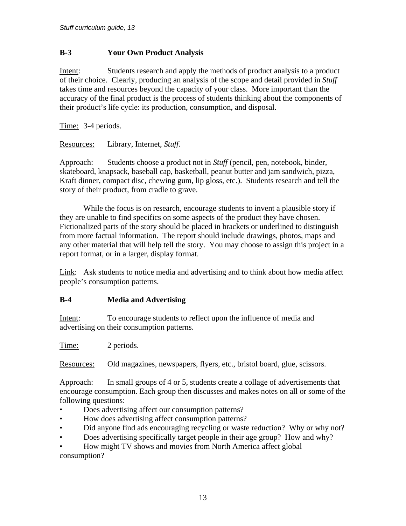## **B-3 Your Own Product Analysis**

Intent: Students research and apply the methods of product analysis to a product of their choice. Clearly, producing an analysis of the scope and detail provided in *Stuff* takes time and resources beyond the capacity of your class. More important than the accuracy of the final product is the process of students thinking about the components of their product's life cycle: its production, consumption, and disposal.

Time: 3-4 periods.

Resources: Library, Internet, *Stuff.* 

Approach: Students choose a product not in *Stuff* (pencil, pen, notebook, binder, skateboard, knapsack, baseball cap, basketball, peanut butter and jam sandwich, pizza, Kraft dinner, compact disc, chewing gum, lip gloss, etc.). Students research and tell the story of their product, from cradle to grave.

 While the focus is on research, encourage students to invent a plausible story if they are unable to find specifics on some aspects of the product they have chosen. Fictionalized parts of the story should be placed in brackets or underlined to distinguish from more factual information. The report should include drawings, photos, maps and any other material that will help tell the story. You may choose to assign this project in a report format, or in a larger, display format.

Link: Ask students to notice media and advertising and to think about how media affect people's consumption patterns.

## **B-4 Media and Advertising**

Intent: To encourage students to reflect upon the influence of media and advertising on their consumption patterns.

Time: 2 periods.

Resources: Old magazines, newspapers, flyers, etc., bristol board, glue, scissors.

Approach: In small groups of 4 or 5, students create a collage of advertisements that encourage consumption. Each group then discusses and makes notes on all or some of the following questions:

- Does advertising affect our consumption patterns?
- How does advertising affect consumption patterns?
- Did anyone find ads encouraging recycling or waste reduction? Why or why not?
- Does advertising specifically target people in their age group? How and why?

• How might TV shows and movies from North America affect global consumption?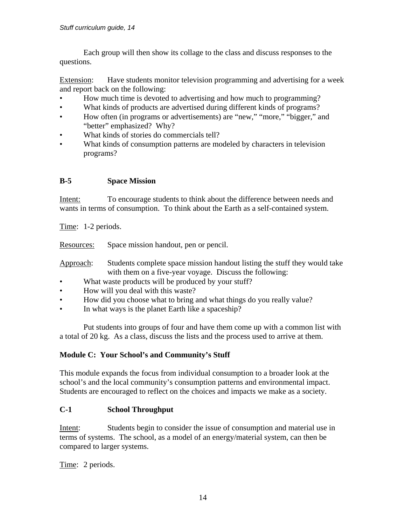Each group will then show its collage to the class and discuss responses to the questions.

Extension: Have students monitor television programming and advertising for a week and report back on the following:

- How much time is devoted to advertising and how much to programming?
- What kinds of products are advertised during different kinds of programs?
- How often (in programs or advertisements) are "new," "more," "bigger," and "better" emphasized? Why?
- What kinds of stories do commercials tell?
- What kinds of consumption patterns are modeled by characters in television programs?

## **B-5 Space Mission**

Intent: To encourage students to think about the difference between needs and wants in terms of consumption. To think about the Earth as a self-contained system.

Time: 1-2 periods.

Resources: Space mission handout, pen or pencil.

Approach: Students complete space mission handout listing the stuff they would take with them on a five-year voyage. Discuss the following:

- What waste products will be produced by your stuff?
- How will you deal with this waste?
- How did you choose what to bring and what things do you really value?
- In what ways is the planet Earth like a spaceship?

 Put students into groups of four and have them come up with a common list with a total of 20 kg. As a class, discuss the lists and the process used to arrive at them.

## **Module C: Your School's and Community's Stuff**

This module expands the focus from individual consumption to a broader look at the school's and the local community's consumption patterns and environmental impact. Students are encouraged to reflect on the choices and impacts we make as a society.

## **C-1 School Throughput**

Intent: Students begin to consider the issue of consumption and material use in terms of systems. The school, as a model of an energy/material system, can then be compared to larger systems.

Time: 2 periods.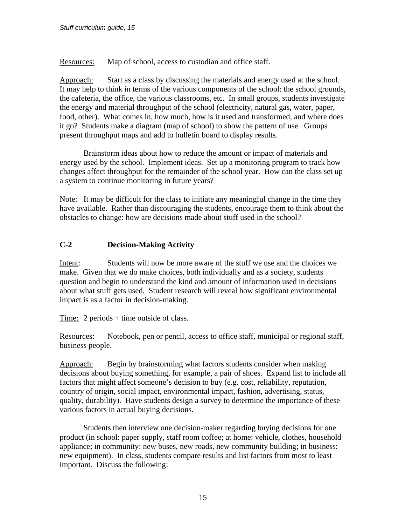Resources: Map of school, access to custodian and office staff.

Approach: Start as a class by discussing the materials and energy used at the school. It may help to think in terms of the various components of the school: the school grounds, the cafeteria, the office, the various classrooms, etc. In small groups, students investigate the energy and material throughput of the school (electricity, natural gas, water, paper, food, other). What comes in, how much, how is it used and transformed, and where does it go? Students make a diagram (map of school) to show the pattern of use. Groups present throughput maps and add to bulletin board to display results.

 Brainstorm ideas about how to reduce the amount or impact of materials and energy used by the school. Implement ideas. Set up a monitoring program to track how changes affect throughput for the remainder of the school year. How can the class set up a system to continue monitoring in future years?

Note: It may be difficult for the class to initiate any meaningful change in the time they have available. Rather than discouraging the students, encourage them to think about the obstacles to change: how are decisions made about stuff used in the school?

## **C-2 Decision-Making Activity**

Intent: Students will now be more aware of the stuff we use and the choices we make. Given that we do make choices, both individually and as a society, students question and begin to understand the kind and amount of information used in decisions about what stuff gets used. Student research will reveal how significant environmental impact is as a factor in decision-making.

Time: 2 periods + time outside of class.

Resources: Notebook, pen or pencil, access to office staff, municipal or regional staff, business people.

Approach: Begin by brainstorming what factors students consider when making decisions about buying something, for example, a pair of shoes. Expand list to include all factors that might affect someone's decision to buy (e.g. cost, reliability, reputation, country of origin, social impact, environmental impact, fashion, advertising, status, quality, durability). Have students design a survey to determine the importance of these various factors in actual buying decisions.

 Students then interview one decision-maker regarding buying decisions for one product (in school: paper supply, staff room coffee; at home: vehicle, clothes, household appliance; in community: new buses, new roads, new community building; in business: new equipment). In class, students compare results and list factors from most to least important. Discuss the following: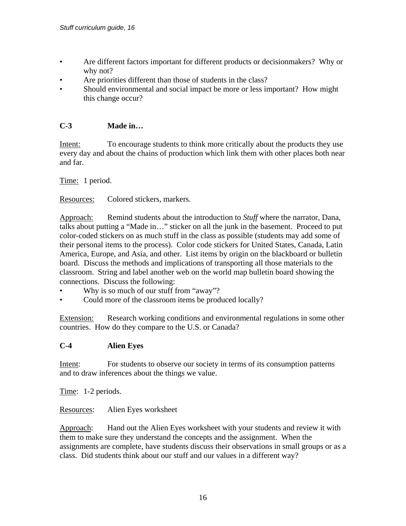- Are different factors important for different products or decisionmakers? Why or why not?
- Are priorities different than those of students in the class?
- Should environmental and social impact be more or less important? How might this change occur?

## **C-3 Made in…**

Intent: To encourage students to think more critically about the products they use every day and about the chains of production which link them with other places both near and far.

Time: 1 period.

Resources: Colored stickers, markers.

Approach: Remind students about the introduction to *Stuff* where the narrator, Dana, talks about putting a "Made in…" sticker on all the junk in the basement. Proceed to put color-coded stickers on as much stuff in the class as possible (students may add some of their personal items to the process). Color code stickers for United States, Canada, Latin America, Europe, and Asia, and other. List items by origin on the blackboard or bulletin board. Discuss the methods and implications of transporting all those materials to the classroom. String and label another web on the world map bulletin board showing the connections. Discuss the following:

- Why is so much of our stuff from "away"?
- Could more of the classroom items be produced locally?

Extension: Research working conditions and environmental regulations in some other countries. How do they compare to the U.S. or Canada?

#### **C-4 Alien Eyes**

Intent: For students to observe our society in terms of its consumption patterns and to draw inferences about the things we value.

Time: 1-2 periods.

Resources: Alien Eyes worksheet

Approach: Hand out the Alien Eyes worksheet with your students and review it with them to make sure they understand the concepts and the assignment. When the assignments are complete, have students discuss their observations in small groups or as a class. Did students think about our stuff and our values in a different way?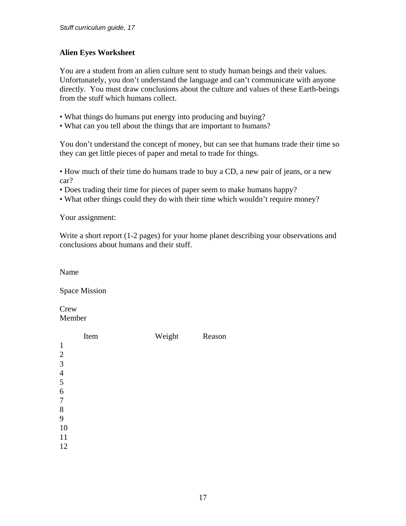## **Alien Eyes Worksheet**

You are a student from an alien culture sent to study human beings and their values. Unfortunately, you don't understand the language and can't communicate with anyone directly. You must draw conclusions about the culture and values of these Earth-beings from the stuff which humans collect.

- What things do humans put energy into producing and buying?
- What can you tell about the things that are important to humans?

You don't understand the concept of money, but can see that humans trade their time so they can get little pieces of paper and metal to trade for things.

• How much of their time do humans trade to buy a CD, a new pair of jeans, or a new car?

- Does trading their time for pieces of paper seem to make humans happy?
- What other things could they do with their time which wouldn't require money?

Your assignment:

Write a short report (1-2 pages) for your home planet describing your observations and conclusions about humans and their stuff.

Name

Space Mission

**Crew** Member

|                          | Item | Weight | Reason |
|--------------------------|------|--------|--------|
| $\mathbf{1}$             |      |        |        |
|                          |      |        |        |
| $\frac{2}{3}$            |      |        |        |
| $\overline{\mathcal{L}}$ |      |        |        |
| 5                        |      |        |        |
| 6                        |      |        |        |
| 7                        |      |        |        |
| 8                        |      |        |        |
| 9                        |      |        |        |
| 10                       |      |        |        |
| 11                       |      |        |        |
| 12                       |      |        |        |
|                          |      |        |        |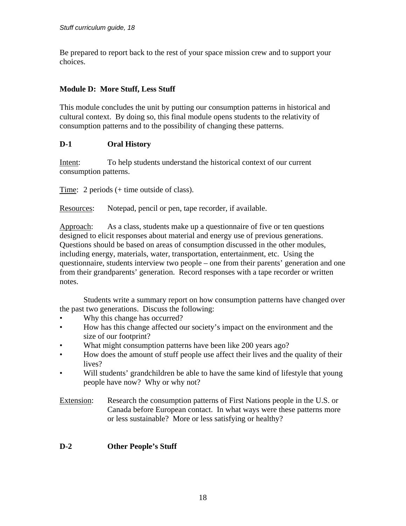Be prepared to report back to the rest of your space mission crew and to support your choices.

## **Module D: More Stuff, Less Stuff**

This module concludes the unit by putting our consumption patterns in historical and cultural context. By doing so, this final module opens students to the relativity of consumption patterns and to the possibility of changing these patterns.

## **D-1 Oral History**

Intent: To help students understand the historical context of our current consumption patterns.

Time: 2 periods (+ time outside of class).

Resources: Notepad, pencil or pen, tape recorder, if available.

Approach: As a class, students make up a questionnaire of five or ten questions designed to elicit responses about material and energy use of previous generations. Questions should be based on areas of consumption discussed in the other modules, including energy, materials, water, transportation, entertainment, etc. Using the questionnaire, students interview two people – one from their parents' generation and one from their grandparents' generation. Record responses with a tape recorder or written notes.

 Students write a summary report on how consumption patterns have changed over the past two generations. Discuss the following:

- Why this change has occurred?
- How has this change affected our society's impact on the environment and the size of our footprint?
- What might consumption patterns have been like 200 years ago?
- How does the amount of stuff people use affect their lives and the quality of their lives?
- Will students' grandchildren be able to have the same kind of lifestyle that young people have now? Why or why not?

Extension: Research the consumption patterns of First Nations people in the U.S. or Canada before European contact. In what ways were these patterns more or less sustainable? More or less satisfying or healthy?

## **D-2 Other People's Stuff**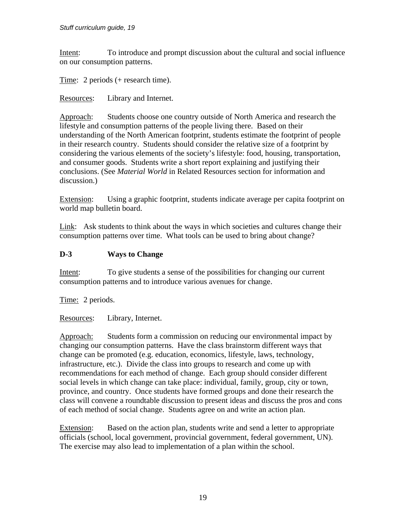Intent: To introduce and prompt discussion about the cultural and social influence on our consumption patterns.

Time: 2 periods (+ research time).

Resources: Library and Internet.

Approach: Students choose one country outside of North America and research the lifestyle and consumption patterns of the people living there. Based on their understanding of the North American footprint, students estimate the footprint of people in their research country. Students should consider the relative size of a footprint by considering the various elements of the society's lifestyle: food, housing, transportation, and consumer goods. Students write a short report explaining and justifying their conclusions. (See *Material World* in Related Resources section for information and discussion.)

Extension: Using a graphic footprint, students indicate average per capita footprint on world map bulletin board.

Link: Ask students to think about the ways in which societies and cultures change their consumption patterns over time. What tools can be used to bring about change?

## **D-3 Ways to Change**

Intent: To give students a sense of the possibilities for changing our current consumption patterns and to introduce various avenues for change.

Time: 2 periods.

Resources: Library, Internet.

Approach: Students form a commission on reducing our environmental impact by changing our consumption patterns. Have the class brainstorm different ways that change can be promoted (e.g. education, economics, lifestyle, laws, technology, infrastructure, etc.). Divide the class into groups to research and come up with recommendations for each method of change. Each group should consider different social levels in which change can take place: individual, family, group, city or town, province, and country. Once students have formed groups and done their research the class will convene a roundtable discussion to present ideas and discuss the pros and cons of each method of social change. Students agree on and write an action plan.

Extension: Based on the action plan, students write and send a letter to appropriate officials (school, local government, provincial government, federal government, UN). The exercise may also lead to implementation of a plan within the school.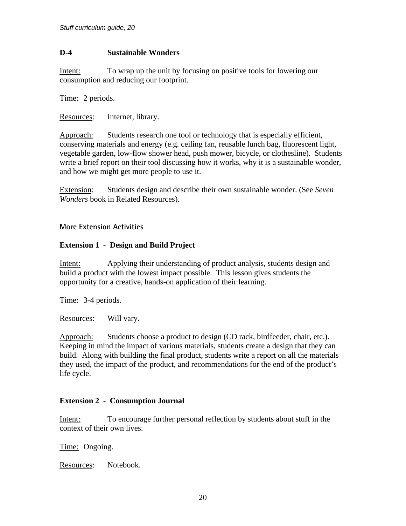#### **D-4 Sustainable Wonders**

Intent: To wrap up the unit by focusing on positive tools for lowering our consumption and reducing our footprint.

Time: 2 periods.

Resources: Internet, library.

Approach: Students research one tool or technology that is especially efficient, conserving materials and energy (e.g. ceiling fan, reusable lunch bag, fluorescent light, vegetable garden, low-flow shower head, push mower, bicycle, or clothesline). Students write a brief report on their tool discussing how it works, why it is a sustainable wonder, and how we might get more people to use it.

Extension: Students design and describe their own sustainable wonder. (See *Seven Wonders* book in Related Resources).

## **More Extension Activities**

## **Extension 1 - Design and Build Project**

Intent: Applying their understanding of product analysis, students design and build a product with the lowest impact possible. This lesson gives students the opportunity for a creative, hands-on application of their learning.

Time: 3-4 periods.

Resources: Will vary.

Approach: Students choose a product to design (CD rack, birdfeeder, chair, etc.). Keeping in mind the impact of various materials, students create a design that they can build. Along with building the final product, students write a report on all the materials they used, the impact of the product, and recommendations for the end of the product's life cycle.

#### **Extension 2 - Consumption Journal**

Intent: To encourage further personal reflection by students about stuff in the context of their own lives.

Time: Ongoing.

Resources: Notebook.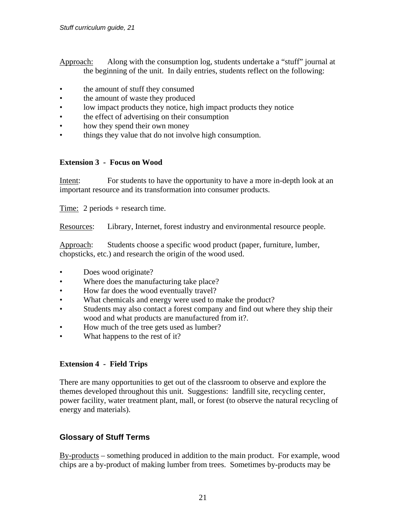- Approach: Along with the consumption log, students undertake a "stuff" journal at the beginning of the unit. In daily entries, students reflect on the following:
- the amount of stuff they consumed
- the amount of waste they produced
- low impact products they notice, high impact products they notice
- the effect of advertising on their consumption
- how they spend their own money
- things they value that do not involve high consumption.

## **Extension 3 - Focus on Wood**

Intent: For students to have the opportunity to have a more in-depth look at an important resource and its transformation into consumer products.

Time: 2 periods + research time.

Resources: Library, Internet, forest industry and environmental resource people.

Approach: Students choose a specific wood product (paper, furniture, lumber, chopsticks, etc.) and research the origin of the wood used.

- Does wood originate?
- Where does the manufacturing take place?
- How far does the wood eventually travel?
- What chemicals and energy were used to make the product?
- Students may also contact a forest company and find out where they ship their wood and what products are manufactured from it?.
- How much of the tree gets used as lumber?
- What happens to the rest of it?

## **Extension 4 - Field Trips**

There are many opportunities to get out of the classroom to observe and explore the themes developed throughout this unit. Suggestions: landfill site, recycling center, power facility, water treatment plant, mall, or forest (to observe the natural recycling of energy and materials).

## **Glossary of Stuff Terms**

By-products – something produced in addition to the main product. For example, wood chips are a by-product of making lumber from trees. Sometimes by-products may be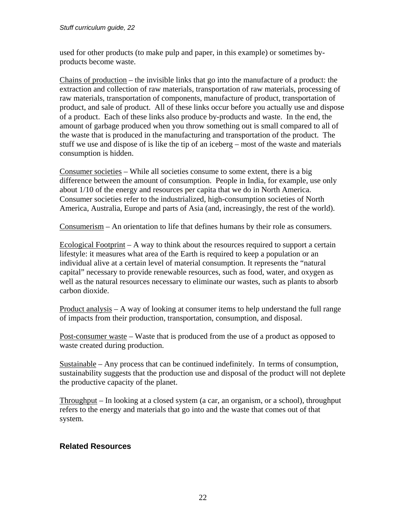used for other products (to make pulp and paper, in this example) or sometimes byproducts become waste.

Chains of production – the invisible links that go into the manufacture of a product: the extraction and collection of raw materials, transportation of raw materials, processing of raw materials, transportation of components, manufacture of product, transportation of product, and sale of product. All of these links occur before you actually use and dispose of a product. Each of these links also produce by-products and waste. In the end, the amount of garbage produced when you throw something out is small compared to all of the waste that is produced in the manufacturing and transportation of the product. The stuff we use and dispose of is like the tip of an iceberg – most of the waste and materials consumption is hidden.

Consumer societies – While all societies consume to some extent, there is a big difference between the amount of consumption. People in India, for example, use only about 1/10 of the energy and resources per capita that we do in North America. Consumer societies refer to the industrialized, high-consumption societies of North America, Australia, Europe and parts of Asia (and, increasingly, the rest of the world).

Consumerism – An orientation to life that defines humans by their role as consumers.

Ecological Footprint – A way to think about the resources required to support a certain lifestyle: it measures what area of the Earth is required to keep a population or an individual alive at a certain level of material consumption. It represents the "natural capital" necessary to provide renewable resources, such as food, water, and oxygen as well as the natural resources necessary to eliminate our wastes, such as plants to absorb carbon dioxide.

Product analysis – A way of looking at consumer items to help understand the full range of impacts from their production, transportation, consumption, and disposal.

Post-consumer waste – Waste that is produced from the use of a product as opposed to waste created during production.

Sustainable – Any process that can be continued indefinitely. In terms of consumption, sustainability suggests that the production use and disposal of the product will not deplete the productive capacity of the planet.

Throughput – In looking at a closed system (a car, an organism, or a school), throughput refers to the energy and materials that go into and the waste that comes out of that system.

## **Related Resources**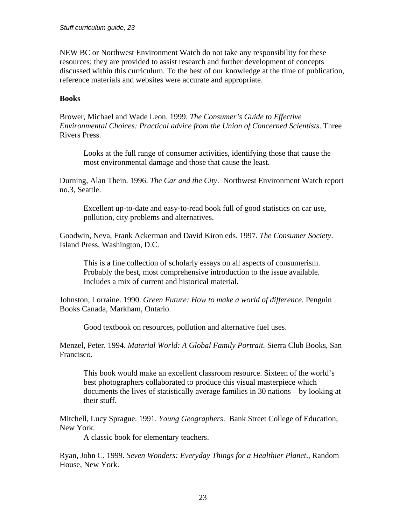NEW BC or Northwest Environment Watch do not take any responsibility for these resources; they are provided to assist research and further development of concepts discussed within this curriculum. To the best of our knowledge at the time of publication, reference materials and websites were accurate and appropriate.

#### **Books**

Brower, Michael and Wade Leon. 1999. *The Consumer's Guide to Effective Environmental Choices: Practical advice from the Union of Concerned Scientists*. Three Rivers Press.

Looks at the full range of consumer activities, identifying those that cause the most environmental damage and those that cause the least.

Durning, Alan Thein. 1996. *The Car and the City*. Northwest Environment Watch report no.3, Seattle.

Excellent up-to-date and easy-to-read book full of good statistics on car use, pollution, city problems and alternatives.

Goodwin, Neva, Frank Ackerman and David Kiron eds. 1997. *The Consumer Society*. Island Press, Washington, D.C.

This is a fine collection of scholarly essays on all aspects of consumerism. Probably the best, most comprehensive introduction to the issue available. Includes a mix of current and historical material.

Johnston, Lorraine. 1990. *Green Future: How to make a world of difference*. Penguin Books Canada, Markham, Ontario.

Good textbook on resources, pollution and alternative fuel uses.

Menzel, Peter. 1994. *Material World: A Global Family Portrait.* Sierra Club Books, San Francisco.

This book would make an excellent classroom resource. Sixteen of the world's best photographers collaborated to produce this visual masterpiece which documents the lives of statistically average families in 30 nations – by looking at their stuff.

Mitchell, Lucy Sprague. 1991. *Young Geographers*. Bank Street College of Education, New York.

A classic book for elementary teachers.

Ryan, John C. 1999. *Seven Wonders: Everyday Things for a Healthier Planet*., Random House, New York.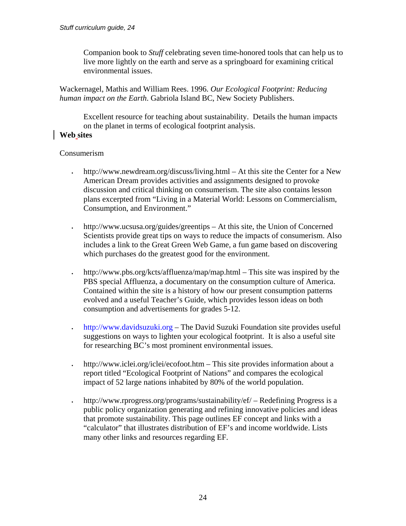Companion book to *Stuff* celebrating seven time-honored tools that can help us to live more lightly on the earth and serve as a springboard for examining critical environmental issues.

Wackernagel, Mathis and William Rees. 1996. *Our Ecological Footprint: Reducing human impact on the Earth*. Gabriola Island BC, New Society Publishers.

Excellent resource for teaching about sustainability. Details the human impacts on the planet in terms of ecological footprint analysis.

## **Web sites**

#### Consumerism

- http://www.newdream.org/discuss/living.html At this site the Center for a New American Dream provides activities and assignments designed to provoke discussion and critical thinking on consumerism. The site also contains lesson plans excerpted from "Living in a Material World: Lessons on Commercialism, Consumption, and Environment."
- http://www.ucsusa.org/guides/greentips At this site, the Union of Concerned Scientists provide great tips on ways to reduce the impacts of consumerism. Also includes a link to the Great Green Web Game, a fun game based on discovering which purchases do the greatest good for the environment.
- http://www.pbs.org/kcts/affluenza/map/map.html This site was inspired by the PBS special Affluenza, a documentary on the consumption culture of America. Contained within the site is a history of how our present consumption patterns evolved and a useful Teacher's Guide, which provides lesson ideas on both consumption and advertisements for grades 5-12.
- [http://www.davidsuzuki.org](http://www.davidsuzuki.org/)  The David Suzuki Foundation site provides useful suggestions on ways to lighten your ecological footprint. It is also a useful site for researching BC's most prominent environmental issues.
- http://www.iclei.org/iclei/ecofoot.htm This site provides information about a report titled "Ecological Footprint of Nations" and compares the ecological impact of 52 large nations inhabited by 80% of the world population.
- http://www.rprogress.org/programs/sustainability/ef/ Redefining Progress is a public policy organization generating and refining innovative policies and ideas that promote sustainability. This page outlines EF concept and links with a "calculator" that illustrates distribution of EF's and income worldwide. Lists many other links and resources regarding EF.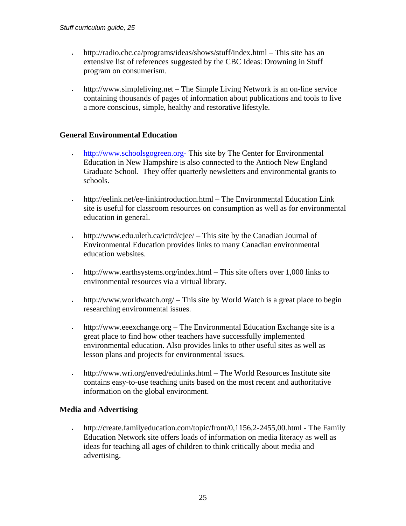- http://radio.cbc.ca/programs/ideas/shows/stuff/index.html This site has an extensive list of references suggested by the CBC Ideas: Drowning in Stuff program on consumerism.
- http://www.simpleliving.net The Simple Living Network is an on-line service containing thousands of pages of information about publications and tools to live a more conscious, simple, healthy and restorative lifestyle.

#### **General Environmental Education**

- [http://www.schoolsgogreen.org-](http://www.schoolsgogreen.org-/) This site by The Center for Environmental Education in New Hampshire is also connected to the Antioch New England Graduate School. They offer quarterly newsletters and environmental grants to schools.
- http://eelink.net/ee-linkintroduction.html The Environmental Education Link site is useful for classroom resources on consumption as well as for environmental education in general.
- http://www.edu.uleth.ca/ictrd/cjee/ This site by the Canadian Journal of Environmental Education provides links to many Canadian environmental education websites.
- http://www.earthsystems.org/index.html This site offers over 1,000 links to environmental resources via a virtual library.
- http://www.worldwatch.org/ This site by World Watch is a great place to begin researching environmental issues.
- http://www.eeexchange.org The Environmental Education Exchange site is a great place to find how other teachers have successfully implemented environmental education. Also provides links to other useful sites as well as lesson plans and projects for environmental issues.
- http://www.wri.org/enved/edulinks.html The World Resources Institute site contains easy-to-use teaching units based on the most recent and authoritative information on the global environment.

#### **Media and Advertising**

• http://create.familyeducation.com/topic/front/0,1156,2-2455,00.html - The Family Education Network site offers loads of information on media literacy as well as ideas for teaching all ages of children to think critically about media and advertising.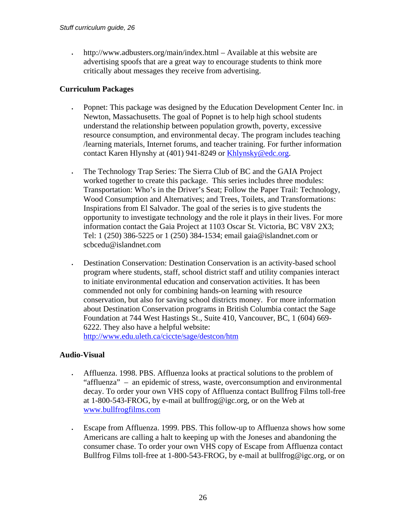• http://www.adbusters.org/main/index.html – Available at this website are advertising spoofs that are a great way to encourage students to think more critically about messages they receive from advertising.

#### **Curriculum Packages**

- Popnet: This package was designed by the Education Development Center Inc. in Newton, Massachusetts. The goal of Popnet is to help high school students understand the relationship between population growth, poverty, excessive resource consumption, and environmental decay. The program includes teaching /learning materials, Internet forums, and teacher training. For further information contact Karen Hlynshy at (401) 941-8249 or [Khlynsky@edc.org.](mailto:Khlynsky@edc.org)
- The Technology Trap Series: The Sierra Club of BC and the GAIA Project worked together to create this package. This series includes three modules: Transportation: Who's in the Driver's Seat; Follow the Paper Trail: Technology, Wood Consumption and Alternatives; and Trees, Toilets, and Transformations: Inspirations from El Salvador. The goal of the series is to give students the opportunity to investigate technology and the role it plays in their lives. For more information contact the Gaia Project at 1103 Oscar St. Victoria, BC V8V 2X3; Tel: 1 (250) 386-5225 or 1 (250) 384-1534; email gaia@islandnet.com or scbcedu@islandnet.com
- Destination Conservation: Destination Conservation is an activity-based school program where students, staff, school district staff and utility companies interact to initiate environmental education and conservation activities. It has been commended not only for combining hands-on learning with resource conservation, but also for saving school districts money. For more information about Destination Conservation programs in British Columbia contact the Sage Foundation at 744 West Hastings St., Suite 410, Vancouver, BC, 1 (604) 669- 6222. They also have a helpful website: <http://www.edu.uleth.ca/ciccte/sage/destcon/htm>

## **Audio-Visual**

- Affluenza. 1998. PBS. Affluenza looks at practical solutions to the problem of "affluenza" – an epidemic of stress, waste, overconsumption and environmental decay. To order your own VHS copy of Affluenza contact Bullfrog Films toll-free at 1-800-543-FROG, by e-mail at bullfrog@igc.org, or on the Web at [www.bullfrogfilms.com](http://www.bullfrogfilms.com/)
	- Escape from Affluenza. 1999. PBS. This follow-up to Affluenza shows how some Americans are calling a halt to keeping up with the Joneses and abandoning the consumer chase. To order your own VHS copy of Escape from Affluenza contact Bullfrog Films toll-free at 1-800-543-FROG, by e-mail at bullfrog@igc.org, or on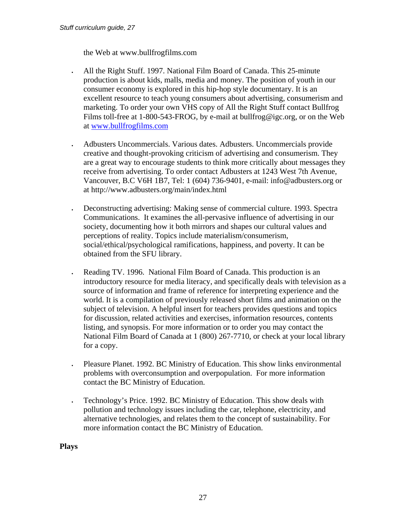the Web at www.bullfrogfilms.com

- All the Right Stuff. 1997. National Film Board of Canada. This 25-minute production is about kids, malls, media and money. The position of youth in our consumer economy is explored in this hip-hop style documentary. It is an excellent resource to teach young consumers about advertising, consumerism and marketing. To order your own VHS copy of All the Right Stuff contact Bullfrog Films toll-free at 1-800-543-FROG, by e-mail at bullfrog@igc.org, or on the Web at [www.bullfrogfilms.com](http://www.bullfrogfilms.com/)
- Adbusters Uncommercials. Various dates. Adbusters. Uncommercials provide creative and thought-provoking criticism of advertising and consumerism. They are a great way to encourage students to think more critically about messages they receive from advertising. To order contact Adbusters at 1243 West 7th Avenue, Vancouver, B.C V6H 1B7, Tel: 1 (604) 736-9401, e-mail: info@adbusters.org or at http://www.adbusters.org/main/index.html
- Deconstructing advertising: Making sense of commercial culture. 1993. Spectra Communications. It examines the all-pervasive influence of advertising in our society, documenting how it both mirrors and shapes our cultural values and perceptions of reality. Topics include materialism/consumerism, social/ethical/psychological ramifications, happiness, and poverty. It can be obtained from the SFU library.
- Reading TV. 1996. National Film Board of Canada. This production is an introductory resource for media literacy, and specifically deals with television as a source of information and frame of reference for interpreting experience and the world. It is a compilation of previously released short films and animation on the subject of television. A helpful insert for teachers provides questions and topics for discussion, related activities and exercises, information resources, contents listing, and synopsis. For more information or to order you may contact the National Film Board of Canada at 1 (800) 267-7710, or check at your local library for a copy.
- Pleasure Planet. 1992. BC Ministry of Education. This show links environmental problems with overconsumption and overpopulation. For more information contact the BC Ministry of Education.
- Technology's Price. 1992. BC Ministry of Education. This show deals with pollution and technology issues including the car, telephone, electricity, and alternative technologies, and relates them to the concept of sustainability. For more information contact the BC Ministry of Education.

**Plays**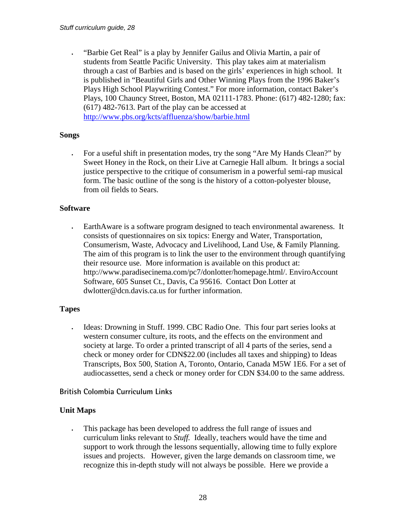• "Barbie Get Real" is a play by Jennifer Gailus and Olivia Martin, a pair of students from Seattle Pacific University. This play takes aim at materialism through a cast of Barbies and is based on the girls' experiences in high school. It is published in "Beautiful Girls and Other Winning Plays from the 1996 Baker's Plays High School Playwriting Contest." For more information, contact Baker's Plays, 100 Chauncy Street, Boston, MA 02111-1783. Phone: (617) 482-1280; fax: (617) 482-7613. Part of the play can be accessed at <http://www.pbs.org/kcts/affluenza/show/barbie.html>

#### **Songs**

• For a useful shift in presentation modes, try the song "Are My Hands Clean?" by Sweet Honey in the Rock, on their Live at Carnegie Hall album. It brings a social justice perspective to the critique of consumerism in a powerful semi-rap musical form. The basic outline of the song is the history of a cotton-polyester blouse, from oil fields to Sears.

#### **Software**

• EarthAware is a software program designed to teach environmental awareness. It consists of questionnaires on six topics: Energy and Water, Transportation, Consumerism, Waste, Advocacy and Livelihood, Land Use, & Family Planning. The aim of this program is to link the user to the environment through quantifying their resource use. More information is available on this product at: http://www.paradisecinema.com/pc7/donlotter/homepage.html/. EnviroAccount Software, 605 Sunset Ct., Davis, Ca 95616. Contact Don Lotter at dwlotter@dcn.davis.ca.us for further information.

#### **Tapes**

• Ideas: Drowning in Stuff. 1999. CBC Radio One. This four part series looks at western consumer culture, its roots, and the effects on the environment and society at large. To order a printed transcript of all 4 parts of the series, send a check or money order for CDN\$22.00 (includes all taxes and shipping) to Ideas Transcripts, Box 500, Station A, Toronto, Ontario, Canada M5W 1E6. For a set of audiocassettes, send a check or money order for CDN \$34.00 to the same address.

#### **British Colombia Curriculum Links**

#### **Unit Maps**

• This package has been developed to address the full range of issues and curriculum links relevant to *Stuff.* Ideally, teachers would have the time and support to work through the lessons sequentially, allowing time to fully explore issues and projects. However, given the large demands on classroom time, we recognize this in-depth study will not always be possible. Here we provide a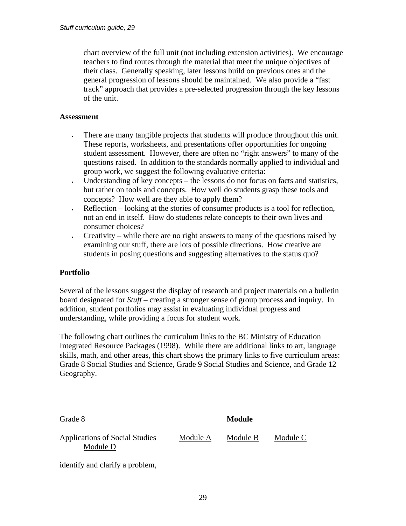chart overview of the full unit (not including extension activities). We encourage teachers to find routes through the material that meet the unique objectives of their class. Generally speaking, later lessons build on previous ones and the general progression of lessons should be maintained. We also provide a "fast track" approach that provides a pre-selected progression through the key lessons of the unit.

#### **Assessment**

- There are many tangible projects that students will produce throughout this unit. These reports, worksheets, and presentations offer opportunities for ongoing student assessment. However, there are often no "right answers" to many of the questions raised. In addition to the standards normally applied to individual and group work, we suggest the following evaluative criteria:
- Understanding of key concepts the lessons do not focus on facts and statistics, but rather on tools and concepts. How well do students grasp these tools and concepts? How well are they able to apply them?
- Reflection looking at the stories of consumer products is a tool for reflection, not an end in itself. How do students relate concepts to their own lives and consumer choices?
- Creativity while there are no right answers to many of the questions raised by examining our stuff, there are lots of possible directions. How creative are students in posing questions and suggesting alternatives to the status quo?

#### **Portfolio**

Several of the lessons suggest the display of research and project materials on a bulletin board designated for *Stuff* – creating a stronger sense of group process and inquiry. In addition, student portfolios may assist in evaluating individual progress and understanding, while providing a focus for student work.

The following chart outlines the curriculum links to the BC Ministry of Education Integrated Resource Packages (1998). While there are additional links to art, language skills, math, and other areas, this chart shows the primary links to five curriculum areas: Grade 8 Social Studies and Science, Grade 9 Social Studies and Science, and Grade 12 Geography.

| Grade 8                                           |          | Module   |          |  |
|---------------------------------------------------|----------|----------|----------|--|
| <b>Applications of Social Studies</b><br>Module D | Module A | Module B | Module C |  |

identify and clarify a problem,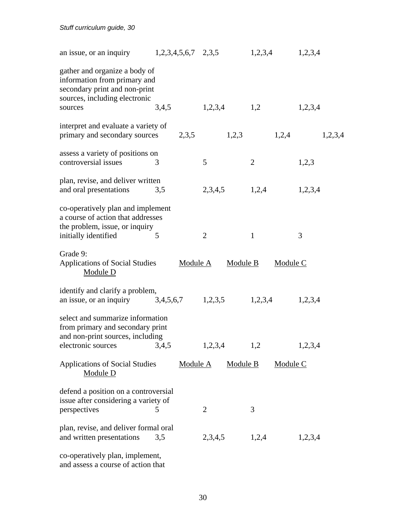| an issue, or an inquiry                                                                                                         | $1,2,3,4,5,6,7$ $2,3,5$ |                 | 1,2,3,4        | 1,2,3,4 |
|---------------------------------------------------------------------------------------------------------------------------------|-------------------------|-----------------|----------------|---------|
| gather and organize a body of<br>information from primary and<br>secondary print and non-print<br>sources, including electronic |                         |                 |                |         |
| sources                                                                                                                         | 3,4,5                   | 1,2,3,4         | 1,2            | 1,2,3,4 |
| interpret and evaluate a variety of<br>primary and secondary sources                                                            | 2,3,5                   | 1,2,3           | 1,2,4          | 1,2,3,4 |
| assess a variety of positions on<br>controversial issues                                                                        | 3                       | 5               | $\overline{2}$ | 1,2,3   |
| plan, revise, and deliver written<br>and oral presentations                                                                     | 3,5                     | 2,3,4,5         | 1,2,4          | 1,2,3,4 |
| co-operatively plan and implement<br>a course of action that addresses<br>the problem, issue, or inquiry                        |                         |                 |                |         |
| initially identified                                                                                                            | 5                       | $\overline{2}$  | $\mathbf{1}$   | 3       |
| Grade 9:<br><b>Applications of Social Studies</b><br>Module D                                                                   | Module A                | Module B        | Module C       |         |
| identify and clarify a problem,<br>an issue, or an inquiry                                                                      | 3,4,5,6,7               | 1,2,3,5         | 1,2,3,4        | 1,2,3,4 |
| select and summarize information<br>from primary and secondary print<br>and non-print sources, including                        |                         |                 |                |         |
| electronic sources 3,4,5                                                                                                        |                         | 1,2,3,4         | 1,2            | 1,2,3,4 |
| <b>Applications of Social Studies</b><br>Module D                                                                               | Module A                | <b>Module B</b> | Module C       |         |
| defend a position on a controversial<br>issue after considering a variety of<br>perspectives                                    | 5                       | $\overline{2}$  | 3              |         |
| plan, revise, and deliver formal oral<br>and written presentations                                                              | 3,5                     | 2,3,4,5         | 1,2,4          | 1,2,3,4 |
| co-operatively plan, implement,<br>and assess a course of action that                                                           |                         |                 |                |         |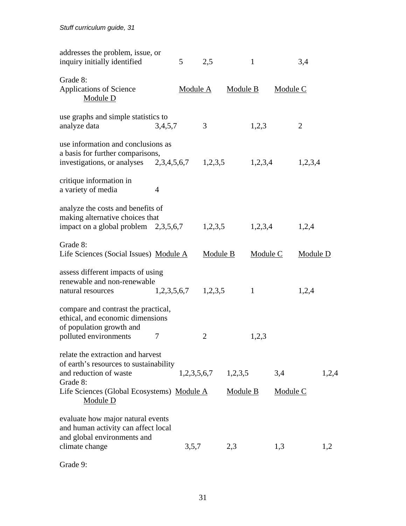| addresses the problem, issue, or<br>inquiry initially identified                                                                           |                         | 5           | 2,5            |                 | $\mathbf{1}$ |                 | 3,4            |       |
|--------------------------------------------------------------------------------------------------------------------------------------------|-------------------------|-------------|----------------|-----------------|--------------|-----------------|----------------|-------|
| Grade 8:<br>Applications of Science<br>Module D                                                                                            |                         | Module A    |                | Module B        |              | Module C        |                |       |
| use graphs and simple statistics to<br>analyze data                                                                                        | 3,4,5,7                 |             | 3              |                 | 1,2,3        |                 | $\overline{2}$ |       |
| use information and conclusions as<br>a basis for further comparisons,<br>investigations, or analyses 2,3,4,5,6,7                          |                         |             | 1,2,3,5        |                 | 1,2,3,4      |                 | 1,2,3,4        |       |
| critique information in<br>a variety of media                                                                                              | 4                       |             |                |                 |              |                 |                |       |
| analyze the costs and benefits of<br>making alternative choices that<br>impact on a global problem $2,3,5,6,7$                             |                         |             | 1,2,3,5        |                 | 1,2,3,4      |                 | 1,2,4          |       |
| Grade 8:<br>Life Sciences (Social Issues) Module A                                                                                         |                         |             | Module B       |                 | Module C     |                 | Module D       |       |
| assess different impacts of using<br>renewable and non-renewable<br>natural resources                                                      | $1,2,3,5,6,7$ $1,2,3,5$ |             |                |                 | $\mathbf{1}$ |                 | 1,2,4          |       |
| compare and contrast the practical,<br>ethical, and economic dimensions<br>of population growth and                                        |                         |             |                |                 |              |                 |                |       |
| polluted environments<br>relate the extraction and harvest<br>of earth's resources to sustainability<br>and reduction of waste<br>Grade 8: | 7                       | 1,2,3,5,6,7 | $\overline{2}$ | 1,2,3,5         | 1,2,3        | 3,4             |                | 1,2,4 |
| Life Sciences (Global Ecosystems) Module A<br>Module D                                                                                     |                         |             |                | <b>Module B</b> |              | <b>Module C</b> |                |       |
| evaluate how major natural events<br>and human activity can affect local<br>and global environments and<br>climate change                  |                         | 3,5,7       |                | 2,3             |              | 1,3             |                | 1,2   |
|                                                                                                                                            |                         |             |                |                 |              |                 |                |       |

Grade 9: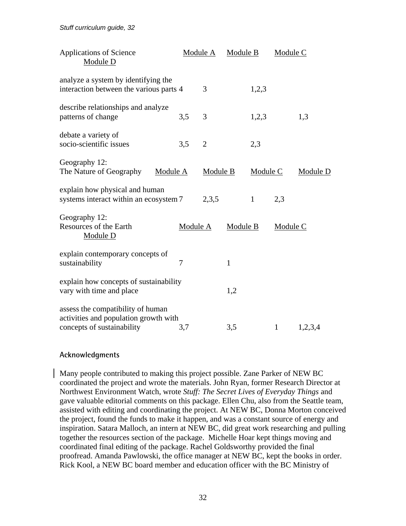*Stuff curriculum guide, 32* 

| <b>Applications of Science</b><br>Module D                                                               |          | Module A       | Module B |              | Module C     |          |
|----------------------------------------------------------------------------------------------------------|----------|----------------|----------|--------------|--------------|----------|
| analyze a system by identifying the<br>interaction between the various parts 4                           |          | 3              |          | 1,2,3        |              |          |
| describe relationships and analyze<br>patterns of change                                                 | 3,5      | 3              |          | 1,2,3        |              | 1,3      |
| debate a variety of<br>socio-scientific issues                                                           | 3,5      | $\overline{2}$ |          | 2,3          |              |          |
| Geography 12:<br>The Nature of Geography<br>Module A                                                     |          | Module B       |          | Module C     |              | Module D |
| explain how physical and human<br>systems interact within an ecosystem 7                                 |          | 2,3,5          |          | $\mathbf{1}$ | 2,3          |          |
| Geography 12:<br>Resources of the Earth<br>Module D                                                      | Module A |                | Module B |              | Module C     |          |
| explain contemporary concepts of<br>sustainability                                                       | 7        |                | 1        |              |              |          |
| explain how concepts of sustainability<br>vary with time and place                                       |          |                | 1,2      |              |              |          |
| assess the compatibility of human<br>activities and population growth with<br>concepts of sustainability | 3,7      |                | 3,5      |              | $\mathbf{1}$ | 1,2,3,4  |

#### **Acknowledgments**

Many people contributed to making this project possible. Zane Parker of NEW BC coordinated the project and wrote the materials. John Ryan, former Research Director at Northwest Environment Watch, wrote *Stuff: The Secret Lives of Everyday Things* and gave valuable editorial comments on this package. Ellen Chu, also from the Seattle team, assisted with editing and coordinating the project. At NEW BC, Donna Morton conceived the project, found the funds to make it happen, and was a constant source of energy and inspiration. Satara Malloch, an intern at NEW BC, did great work researching and pulling together the resources section of the package. Michelle Hoar kept things moving and coordinated final editing of the package. Rachel Goldsworthy provided the final proofread. Amanda Pawlowski, the office manager at NEW BC, kept the books in order. Rick Kool, a NEW BC board member and education officer with the BC Ministry of